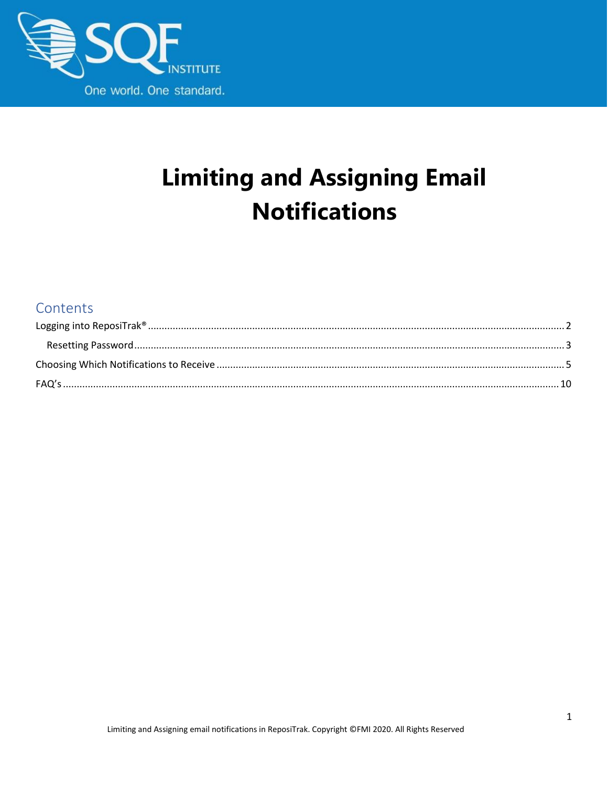

## **Limiting and Assigning Email Notifications**

#### Contents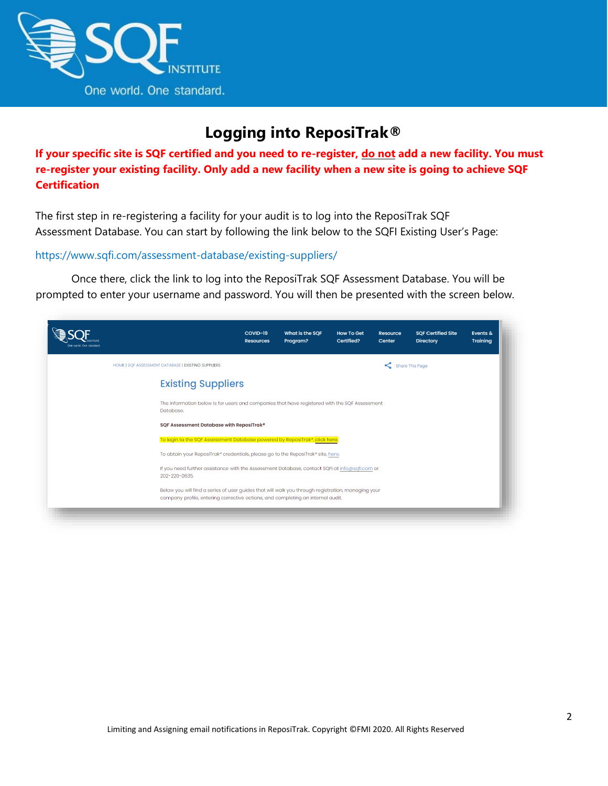

### **Logging into ReposiTrak®**

<span id="page-1-0"></span>**If your specific site is SQF certified and you need to re-register, do not add a new facility. You must re-register your existing facility. Only add a new facility when a new site is going to achieve SQF Certification**

The first step in re-registering a facility for your audit is to log into the ReposiTrak SQF Assessment Database. You can start by following the link below to the SQFI Existing User's Page:

<https://www.sqfi.com/assessment-database/existing-suppliers/>

Once there, click the link to log into the ReposiTrak SQF Assessment Database. You will be prompted to enter your username and password. You will then be presented with the screen below.

| One world, One standard. |                                                                                                                                                                                       | COVID-19<br><b>Resources</b> | What is the SQF<br>Program? | <b>How To Get</b><br>Certified? | Resource<br>Center | <b>SQF Certified Site</b><br><b>Directory</b> | Events &<br>Training |
|--------------------------|---------------------------------------------------------------------------------------------------------------------------------------------------------------------------------------|------------------------------|-----------------------------|---------------------------------|--------------------|-----------------------------------------------|----------------------|
|                          | HOME I SOF ASSESSMENT DATABASE I EXISTING SUPPLIERS                                                                                                                                   |                              |                             |                                 | Share This Page    |                                               |                      |
|                          | <b>Existing Suppliers</b>                                                                                                                                                             |                              |                             |                                 |                    |                                               |                      |
|                          | The information below is for users and companies that have registered with the SQF Assessment<br>Database.                                                                            |                              |                             |                                 |                    |                                               |                      |
|                          | SQF Assessment Database with ReposiTrak®                                                                                                                                              |                              |                             |                                 |                    |                                               |                      |
|                          | To login to the SQF Assessment Database powered by ReposiTrak®, click here.                                                                                                           |                              |                             |                                 |                    |                                               |                      |
|                          | To obtain your ReposiTrak® credentials, please go to the ReposiTrak® site, here.                                                                                                      |                              |                             |                                 |                    |                                               |                      |
|                          | If you need further assistance with the Assessment Database, contact SQFI at info@sqfi.com or<br>202-220-0635.                                                                        |                              |                             |                                 |                    |                                               |                      |
|                          | Below you will find a series of user guides that will walk you through registration, managing your<br>company profile, entering corrective actions, and completing an internal audit. |                              |                             |                                 |                    |                                               |                      |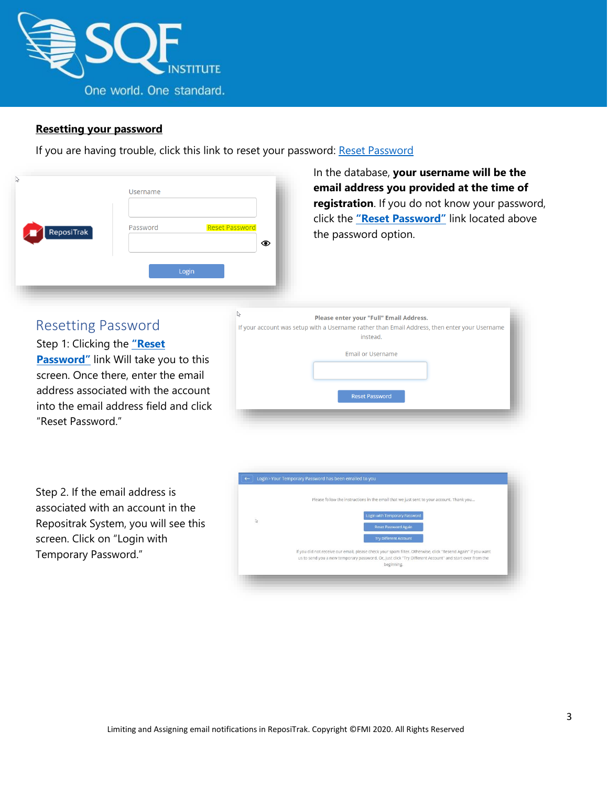

#### **Resetting your password**

If you are having trouble, click this link to reset your password: [Reset Password](https://www.ac.parkcitygroup.com/application/vwavecgi/private/vialink.cgi/login/app)

| ß                               | Username                               |
|---------------------------------|----------------------------------------|
| $\sqrt{\phantom{a}}$ ReposiTrak | <b>Reset Password</b><br>Password<br>⊙ |
|                                 | Login                                  |

In the database, **your username will be the email address you provided at the time of registration**. If you do not know your password, click the **["Reset Password"](https://www.ac.parkcitygroup.com/application/vwavecgi/private/vialink2.cgi/submit)** link located above the password option.

<span id="page-2-0"></span>

| <b>Resetting Password</b>                                                                                                                                                                                                                                                                        | If your account was: |
|--------------------------------------------------------------------------------------------------------------------------------------------------------------------------------------------------------------------------------------------------------------------------------------------------|----------------------|
| Step 1: Clicking the "Reset                                                                                                                                                                                                                                                                      |                      |
| $\mathbf{B}$ and $\mathbf{B}$ and $\mathbf{B}$ and $\mathbf{B}$ and $\mathbf{B}$ and $\mathbf{B}$ and $\mathbf{B}$ and $\mathbf{B}$ and $\mathbf{B}$ and $\mathbf{B}$ and $\mathbf{B}$ and $\mathbf{B}$ and $\mathbf{B}$ and $\mathbf{B}$ and $\mathbf{B}$ and $\mathbf{B}$ and $\mathbf{B}$ and |                      |

**[Password"](https://www.ac.parkcitygroup.com/application/vwavecgi/private/vialink2.cgi/submit)** link Will take you to this screen. Once there, enter the email address associated with the account into the email address field and click "Reset Password."

| い | Please enter your "Full" Email Address.<br>If your account was setup with a Username rather than Email Address, then enter your Username |  |
|---|------------------------------------------------------------------------------------------------------------------------------------------|--|
|   | instead.                                                                                                                                 |  |
|   | Email or Username                                                                                                                        |  |
|   |                                                                                                                                          |  |
|   | <b>Reset Password</b>                                                                                                                    |  |
|   |                                                                                                                                          |  |

Step 2. If the email address is associated with an account in the Repositrak System, you will see this screen. Click on "Login with Temporary Password."

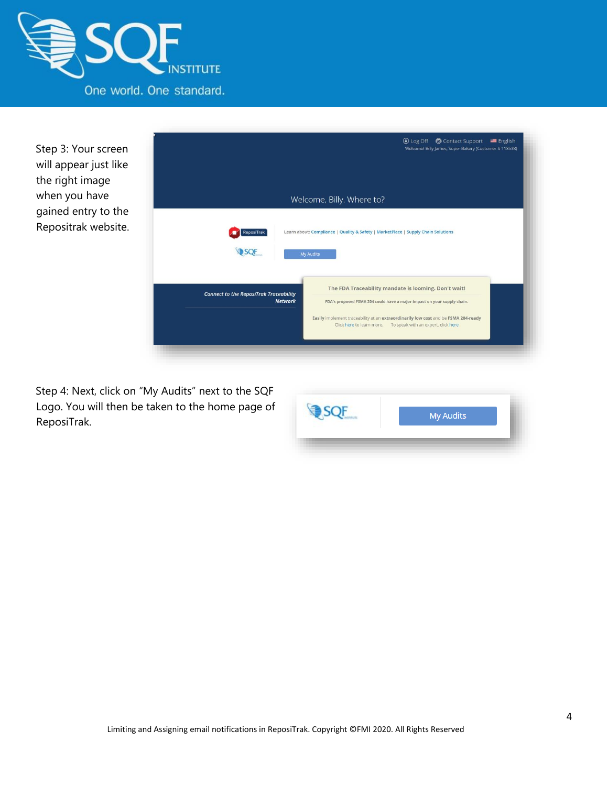

Step 3: Your screen will appear just like the right image when you have gained entry to the Repositrak website.



Step 4: Next, click on "My Audits" next to the SQF Logo. You will then be taken to the home page of ReposiTrak.

| My Audits |
|-----------|
|           |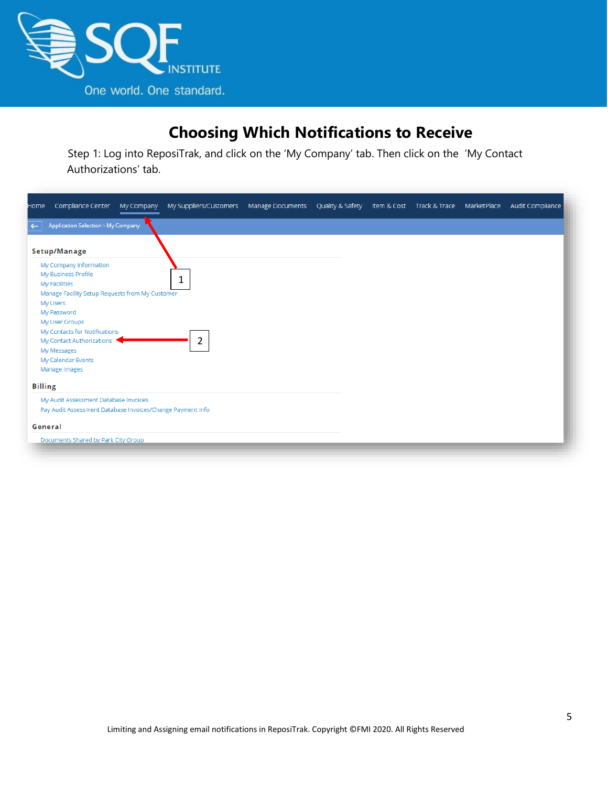

### **Choosing Which Notifications to Receive**

<span id="page-4-0"></span>Step 1: Log into ReposiTrak, and click on the 'My Company' tab. Then click on the 'My Contact Authorizations' tab.

| Home           | Compliance Center                                                                                                                                                                                                                                                                  | My Company | My Suppliers/Customers Manage Documents Quality & Safety Item & Cost Track & Trace MarketPlace |  |  | Audit Compliance |
|----------------|------------------------------------------------------------------------------------------------------------------------------------------------------------------------------------------------------------------------------------------------------------------------------------|------------|------------------------------------------------------------------------------------------------|--|--|------------------|
| $\leftarrow$   | <b>Application Selection &gt; My Company</b>                                                                                                                                                                                                                                       |            |                                                                                                |  |  |                  |
|                | <b>Setup/Manage</b>                                                                                                                                                                                                                                                                |            |                                                                                                |  |  |                  |
|                | My Company Information<br>My Business Profile<br>My Facilities<br>Manage Facility Setup Requests from My Customer<br>My Users<br>My Password<br>My User Groups<br>My Contacts for Notifications<br>My Contact Authorizations<br>My Messages<br>My Calendar Events<br>Manage Images |            | 2                                                                                              |  |  |                  |
| <b>Billing</b> |                                                                                                                                                                                                                                                                                    |            |                                                                                                |  |  |                  |
|                | My Audit Assessment Database Invoices<br>Pay Audit Assessment Database Invoices/Change Payment Info                                                                                                                                                                                |            |                                                                                                |  |  |                  |
| General        |                                                                                                                                                                                                                                                                                    |            |                                                                                                |  |  |                  |
|                | Documents Shared by Park City Group                                                                                                                                                                                                                                                |            |                                                                                                |  |  |                  |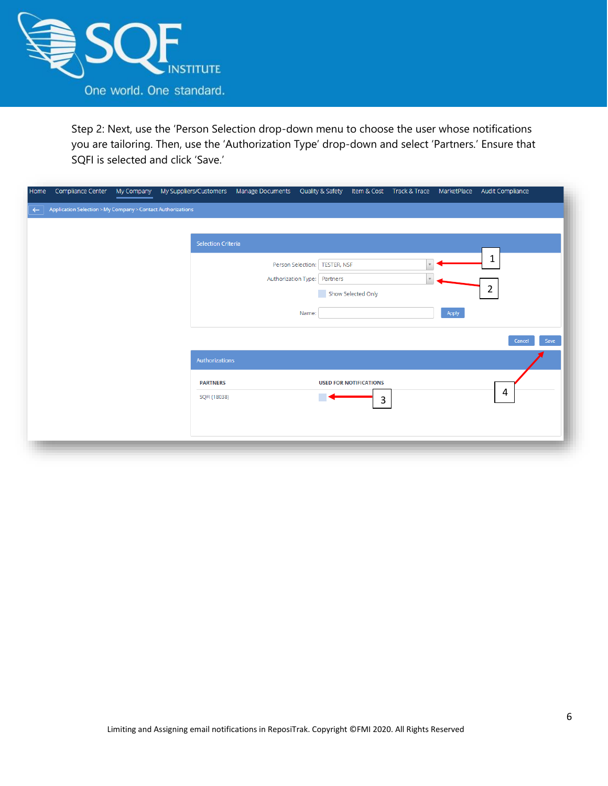

Step 2: Next, use the 'Person Selection drop-down menu to choose the user whose notifications you are tailoring. Then, use the 'Authorization Type' drop-down and select 'Partners.' Ensure that SQFI is selected and click 'Save.'

| Compliance Center<br>My Company<br>Home                                     | My Suppliers/Customers  Manage Documents  Quality & Safety |                                                               |   |       | Item & Cost Track & Trace MarketPlace Audit Compliance |
|-----------------------------------------------------------------------------|------------------------------------------------------------|---------------------------------------------------------------|---|-------|--------------------------------------------------------|
| Application Selection > My Company > Contact Authorizations<br>$\leftarrow$ |                                                            |                                                               |   |       |                                                        |
|                                                                             |                                                            |                                                               |   |       |                                                        |
|                                                                             | <b>Selection Criteria</b>                                  |                                                               |   |       |                                                        |
|                                                                             |                                                            |                                                               |   |       | $\mathbf 1$                                            |
|                                                                             |                                                            | Person Selection: TESTER, NSF<br>Authorization Type: Partners |   |       |                                                        |
|                                                                             |                                                            | Show Selected Only                                            |   |       | 2                                                      |
|                                                                             |                                                            |                                                               |   |       |                                                        |
|                                                                             |                                                            | Name:                                                         |   | Apply |                                                        |
|                                                                             |                                                            |                                                               |   |       | Save<br>Cancel                                         |
|                                                                             |                                                            |                                                               |   |       |                                                        |
|                                                                             | Authorizations                                             |                                                               |   |       |                                                        |
|                                                                             | <b>PARTNERS</b>                                            | <b>USED FOR NOTIFICATIONS</b>                                 |   |       |                                                        |
|                                                                             | SQFI (18038)                                               |                                                               | 3 |       | 4                                                      |
|                                                                             |                                                            |                                                               |   |       |                                                        |
|                                                                             |                                                            |                                                               |   |       |                                                        |
|                                                                             |                                                            |                                                               |   |       |                                                        |
|                                                                             |                                                            |                                                               |   |       |                                                        |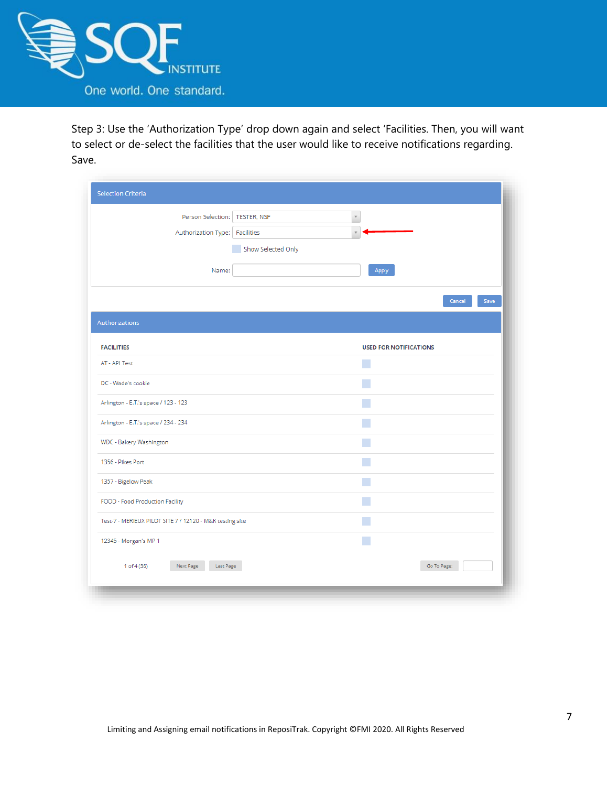

Step 3: Use the 'Authorization Type' drop down again and select 'Facilities. Then, you will want to select or de-select the facilities that the user would like to receive notifications regarding. Save.

| Person Selection:<br><b>TESTER, NSF</b><br>Y<br>Authorization Type:   Facilities<br>$\ ^{}$<br>Show Selected Only<br>Name:<br>Apply<br>Cancel<br><b>USED FOR NOTIFICATIONS</b><br><b>CONTRACTOR</b> | Save |
|-----------------------------------------------------------------------------------------------------------------------------------------------------------------------------------------------------|------|
|                                                                                                                                                                                                     |      |
| Authorizations<br><b>FACILITIES</b><br>AT - API Test<br>DC - Wade's cookie<br>Arlington - E.T.'s space / 123 - 123<br>Arlington - E.T.'s space / 234 - 234                                          |      |
|                                                                                                                                                                                                     |      |
|                                                                                                                                                                                                     |      |
|                                                                                                                                                                                                     |      |
|                                                                                                                                                                                                     |      |
|                                                                                                                                                                                                     |      |
|                                                                                                                                                                                                     |      |
|                                                                                                                                                                                                     |      |
|                                                                                                                                                                                                     |      |
|                                                                                                                                                                                                     |      |
| WDC - Bakery Washington                                                                                                                                                                             |      |
| 1356 - Pikes Port                                                                                                                                                                                   |      |
| 1357 - Bigelow Peak                                                                                                                                                                                 |      |
| FOOD - Food Production Facility                                                                                                                                                                     |      |
| Test-7 - MERIEUX PILOT SITE 7 / 12120 - M&K testing site                                                                                                                                            |      |
| 12345 - Morgan's MP 1                                                                                                                                                                               |      |
| Next Page<br>Go To Page:<br>1 of 4 (36)<br>Last Page                                                                                                                                                |      |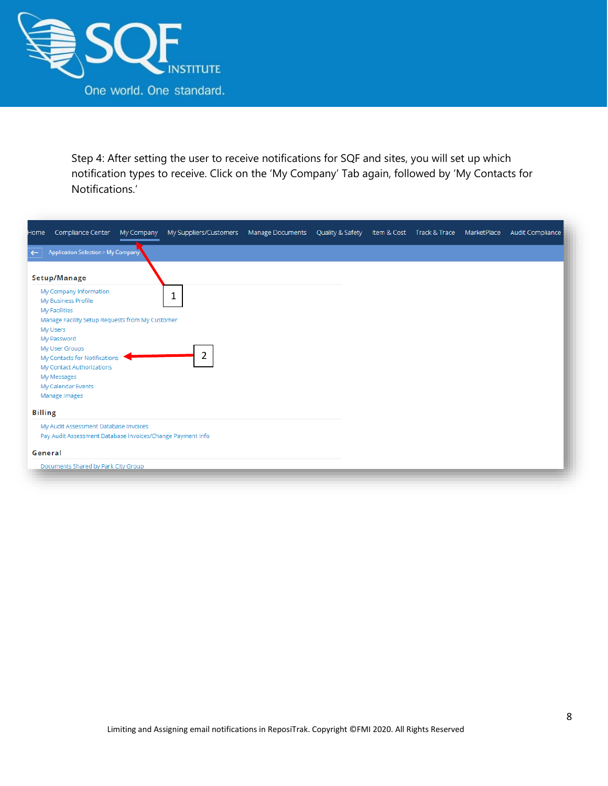

Step 4: After setting the user to receive notifications for SQF and sites, you will set up which notification types to receive. Click on the 'My Company' Tab again, followed by 'My Contacts for Notifications.'

| Home           | Compliance Center                                                                                                                                                                                                                                                                  | My Company | My Suppliers/Customers Manage Documents Quality & Safety Item & Cost Track & Trace MarketPlace |  |  | Audit Compliance |
|----------------|------------------------------------------------------------------------------------------------------------------------------------------------------------------------------------------------------------------------------------------------------------------------------------|------------|------------------------------------------------------------------------------------------------|--|--|------------------|
| $\leftarrow$   | <b>Application Selection &gt; My Company</b>                                                                                                                                                                                                                                       |            |                                                                                                |  |  |                  |
|                | Setup/Manage                                                                                                                                                                                                                                                                       |            |                                                                                                |  |  |                  |
|                | My Company Information<br>My Business Profile<br>My Facilities<br>Manage Facility Setup Requests from My Customer<br>My Users<br>My Password<br>My User Groups<br>My Contacts for Notifications<br>My Contact Authorizations<br>My Messages<br>My Calendar Events<br>Manage Images |            | 1<br>$\overline{2}$                                                                            |  |  |                  |
| <b>Billing</b> |                                                                                                                                                                                                                                                                                    |            |                                                                                                |  |  |                  |
|                | My Audit Assessment Database Invoices<br>Pay Audit Assessment Database Invoices/Change Payment Info                                                                                                                                                                                |            |                                                                                                |  |  |                  |
| General        |                                                                                                                                                                                                                                                                                    |            |                                                                                                |  |  |                  |
|                | Documents Shared by Park City Group                                                                                                                                                                                                                                                |            |                                                                                                |  |  |                  |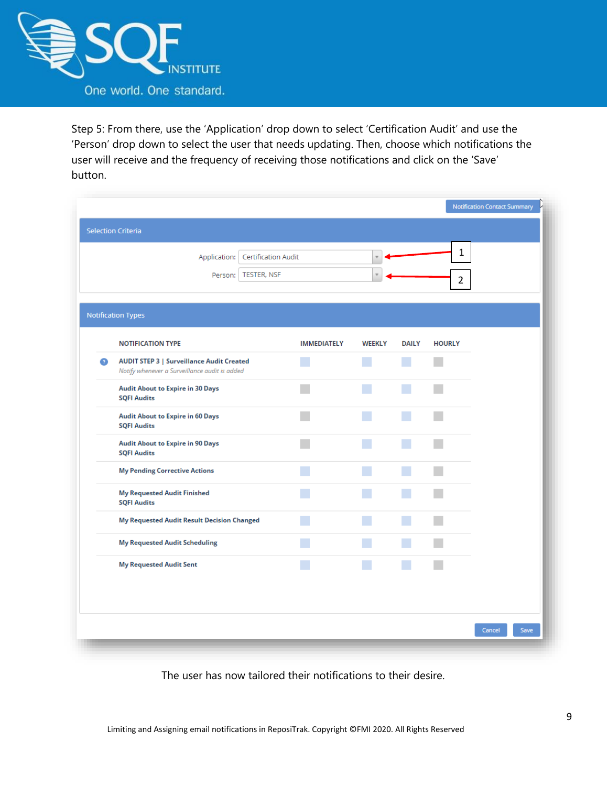

Step 5: From there, use the 'Application' drop down to select 'Certification Audit' and use the 'Person' drop down to select the user that needs updating. Then, choose which notifications the user will receive and the frequency of receiving those notifications and click on the 'Save' button.

|           |                                                                                                   |                            |                    |                        |                 |                | <b>Notification Contact Summary</b> |      |
|-----------|---------------------------------------------------------------------------------------------------|----------------------------|--------------------|------------------------|-----------------|----------------|-------------------------------------|------|
|           | <b>Selection Criteria</b>                                                                         |                            |                    |                        |                 |                |                                     |      |
|           | Application:                                                                                      | <b>Certification Audit</b> |                    |                        |                 | $\mathbf{1}$   |                                     |      |
|           |                                                                                                   | Person: TESTER, NSF        |                    |                        |                 | $\overline{2}$ |                                     |      |
|           |                                                                                                   |                            |                    |                        |                 |                |                                     |      |
|           | <b>Notification Types</b>                                                                         |                            |                    |                        |                 |                |                                     |      |
|           | <b>NOTIFICATION TYPE</b>                                                                          |                            | <b>IMMEDIATELY</b> | <b>WEEKLY</b>          | <b>DAILY</b>    | <b>HOURLY</b>  |                                     |      |
| $\bullet$ | <b>AUDIT STEP 3   Surveillance Audit Created</b><br>Notify whenever a Surveillance audit is added |                            |                    | <b>CONTRACTOR</b>      | l s             |                |                                     |      |
|           | <b>Audit About to Expire in 30 Days</b><br><b>SQFI Audits</b>                                     |                            |                    |                        | <b>Contract</b> |                |                                     |      |
|           | <b>Audit About to Expire in 60 Days</b><br><b>SQFI Audits</b>                                     |                            |                    | <b>Service Service</b> | k.              |                |                                     |      |
|           | <b>Audit About to Expire in 90 Days</b><br><b>SQFI Audits</b>                                     |                            |                    | k.                     | m.              |                |                                     |      |
|           | <b>My Pending Corrective Actions</b>                                                              |                            |                    | <b>Service Service</b> | k.              |                |                                     |      |
|           | <b>My Requested Audit Finished</b><br><b>SQFI Audits</b>                                          |                            |                    | Ŧ                      | m.              |                |                                     |      |
|           | <b>My Requested Audit Result Decision Changed</b>                                                 |                            |                    |                        | k.              |                |                                     |      |
|           | <b>My Requested Audit Scheduling</b>                                                              |                            |                    | <b>CONTRACTOR</b>      | k.              |                |                                     |      |
|           | <b>My Requested Audit Sent</b>                                                                    |                            |                    |                        | F               |                |                                     |      |
|           |                                                                                                   |                            |                    |                        |                 |                |                                     |      |
|           |                                                                                                   |                            |                    |                        |                 |                |                                     |      |
|           |                                                                                                   |                            |                    |                        |                 |                | Cancel                              | Save |

The user has now tailored their notifications to their desire.